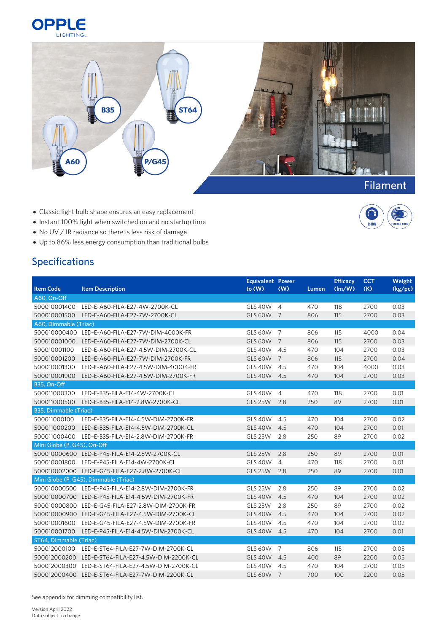



**DIM** 

- Classic light bulb shape ensures an easy replacement
- Instant 100% light when switched on and no startup time
- No UV / IR radiance so there is less risk of damage
- Up to 86% less energy consumption than traditional bulbs

## Specifications

|                             |                                                       | Equivalent Power |                |       | <b>Efficacy</b> | <b>CCT</b> | Weight  |
|-----------------------------|-------------------------------------------------------|------------------|----------------|-------|-----------------|------------|---------|
| <b>Item Code</b>            | <b>Item Description</b>                               | to(W)            | (W)            | Lumen | (lm/W)          | (K)        | (kg/pc) |
| A60, On-Off                 |                                                       |                  |                |       |                 |            |         |
| 500010001400                | LED-E-A60-FILA-E27-4W-2700K-CL                        | <b>GLS 40W</b>   | $\overline{4}$ | 470   | 118             | 2700       | 0.03    |
| 500010001500                | LED-E-A60-FILA-E27-7W-2700K-CL                        | <b>GLS 60W</b>   | $\overline{7}$ | 806   | 115             | 2700       | 0.03    |
| A60, Dimmable (Triac)       |                                                       |                  |                |       |                 |            |         |
|                             | 500010000400 LED-E-A60-FILA-E27-7W-DIM-4000K-FR       | <b>GLS 60W</b>   | $\overline{7}$ | 806   | 115             | 4000       | 0.04    |
| 500010001000                | LED-E-A60-FILA-E27-7W-DIM-2700K-CL                    | <b>GLS 60W</b>   | $\overline{7}$ | 806   | 115             | 2700       | 0.03    |
| 500010001100                | LED-E-A60-FILA-E27-4.5W-DIM-2700K-CL                  | GLS 40W 4.5      |                | 470   | 104             | 2700       | 0.03    |
| 500010001200                | LED-E-A60-FILA-E27-7W-DIM-2700K-FR                    | GLS 60W 7        |                | 806   | 115             | 2700       | 0.04    |
| 500010001300                | LED-E-A60-FILA-E27-4.5W-DIM-4000K-FR                  | <b>GLS 40W</b>   | 4.5            | 470   | 104             | 4000       | 0.03    |
|                             | 500010001900 LED-E-A60-FILA-E27-4.5W-DIM-2700K-FR     | <b>GLS 40W</b>   | 4.5            | 470   | 104             | 2700       | 0.03    |
| B35, On-Off                 |                                                       |                  |                |       |                 |            |         |
|                             | 500011000300 LED-E-B35-FILA-E14-4W-2700K-CL           | <b>GLS 40W</b>   | $\overline{4}$ | 470   | 118             | 2700       | 0.01    |
| 500011000500                | LED-E-B35-FILA-E14-2.8W-2700K-CL                      | <b>GLS 25W</b>   | 2.8            | 250   | 89              | 2700       | 0.01    |
| B35, Dimmable (Triac)       |                                                       |                  |                |       |                 |            |         |
| 500011000100                | LED-E-B35-FILA-E14-4.5W-DIM-2700K-FR                  | <b>GLS 40W</b>   | 4.5            | 470   | 104             | 2700       | 0.02    |
| 500011000200                | LED-E-B35-FILA-E14-4.5W-DIM-2700K-CL                  | <b>GLS 40W</b>   | 4.5            | 470   | 104             | 2700       | 0.01    |
| 500011000400                | LED-E-B35-FILA-E14-2.8W-DIM-2700K-FR                  | <b>GLS 25W</b>   | 2.8            | 250   | 89              | 2700       | 0.02    |
| Mini Globe (P, G45), On-Off |                                                       |                  |                |       |                 |            |         |
|                             | 500010000600 LED-E-P45-FILA-E14-2.8W-2700K-CL         | <b>GLS 25W</b>   | 2.8            | 250   | 89              | 2700       | 0.01    |
|                             | 500010001800 LED-E-P45-FILA-E14-4W-2700K-CL           | <b>GLS 40W</b>   | $\overline{4}$ | 470   | 118             | 2700       | 0.01    |
|                             | 500010002000 LED-E-G45-FILA-E27-2.8W-2700K-CL         | <b>GLS 25W</b>   | 2.8            | 250   | 89              | 2700       | 0.01    |
|                             | Mini Globe (P, G45), Dimmable (Triac)                 |                  |                |       |                 |            |         |
|                             | 500010000500 LED-E-P45-FILA-E14-2.8W-DIM-2700K-FR     | <b>GLS 25W</b>   | 2.8            | 250   | 89              | 2700       | 0.02    |
|                             | 500010000700 LED-E-P45-FILA-E14-4.5W-DIM-2700K-FR     | <b>GLS 40W</b>   | 4.5            | 470   | 104             | 2700       | 0.02    |
|                             | 500010000800 LED-E-G45-FILA-E27-2.8W-DIM-2700K-FR     | <b>GLS 25W</b>   | 2.8            | 250   | 89              | 2700       | 0.02    |
|                             | 500010000900    LED-E-G45-FILA-E27-4.5W-DIM-2700K-CL  | <b>GLS 40W</b>   | 4.5            | 470   | 104             | 2700       | 0.02    |
|                             | 500010001600 LED-E-G45-FILA-E27-4.5W-DIM-2700K-FR     | <b>GLS 40W</b>   | 4.5            | 470   | 104             | 2700       | 0.02    |
| 500010001700                | LED-E-P45-FILA-E14-4.5W-DIM-2700K-CL                  | <b>GLS 40W</b>   | 4.5            | 470   | 104             | 2700       | 0.01    |
| ST64, Dimmable (Triac)      |                                                       |                  |                |       |                 |            |         |
| 500012000100                | LED-E-ST64-FILA-E27-7W-DIM-2700K-CL                   | <b>GLS 60W</b>   | 7              | 806   | 115             | 2700       | 0.05    |
|                             | 500012000200    LED-E-ST64-FILA-E27-4.5W-DIM-2200K-CL | <b>GLS 40W</b>   | 4.5            | 400   | 89              | 2200       | 0.05    |
| 500012000300                | LED-E-ST64-FILA-E27-4.5W-DIM-2700K-CL                 | <b>GLS 40W</b>   | 4.5            | 470   | 104             | 2700       | 0.05    |
|                             | 500012000400 LED-E-ST64-FILA-E27-7W-DIM-2200K-CL      | GLS 60W 7        |                | 700   | 100             | 2200       | 0.05    |

See appendix for dimming compatibility list.